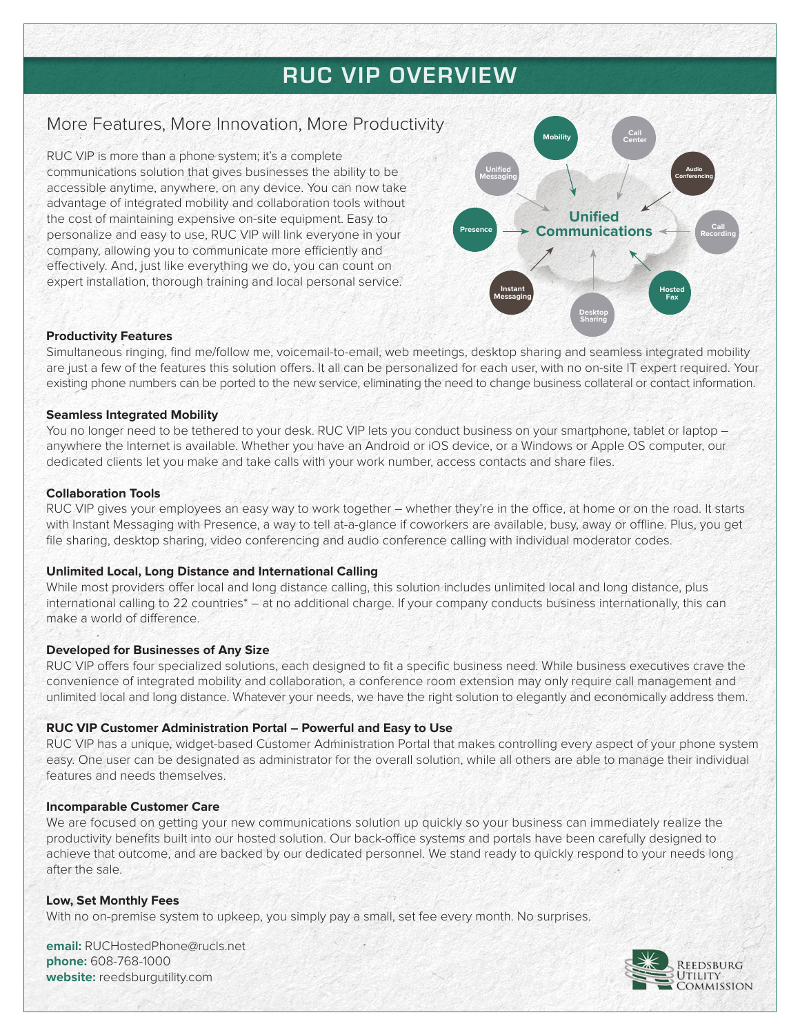# **RUC VIP OVERVIEW**

# More Features, More Innovation, More Productivity

RUC VIP is more than a phone system; it's a complete communications solution that gives businesses the ability to be accessible anytime, anywhere, on any device. You can now take advantage of integrated mobility and collaboration tools without the cost of maintaining expensive on-site equipment. Easy to personalize and easy to use, RUC VIP will link everyone in your company, allowing you to communicate more efficiently and effectively. And, just like everything we do, you can count on expert installation, thorough training and local personal service.



#### **Productivity Features**

Simultaneous ringing, find me/follow me, voicemail-to-email, web meetings, desktop sharing and seamless integrated mobility are just a few of the features this solution offers. It all can be personalized for each user, with no on-site IT expert required. Your existing phone numbers can be ported to the new service, eliminating the need to change business collateral or contact information.

#### **Seamless Integrated Mobility**

You no longer need to be tethered to your desk. RUC VIP lets you conduct business on your smartphone, tablet or laptop anywhere the Internet is available. Whether you have an Android or iOS device, or a Windows or Apple OS computer, our dedicated clients let you make and take calls with your work number, access contacts and share files.

#### **Collaboration Tools**

RUC VIP gives your employees an easy way to work together – whether they're in the office, at home or on the road. It starts with Instant Messaging with Presence, a way to tell at-a-glance if coworkers are available, busy, away or offline. Plus, you get file sharing, desktop sharing, video conferencing and audio conference calling with individual moderator codes.

# **Unlimited Local, Long Distance and International Calling**

While most providers offer local and long distance calling, this solution includes unlimited local and long distance, plus international calling to 22 countries\* – at no additional charge. If your company conducts business internationally, this can make a world of difference.

# **Developed for Businesses of Any Size**

RUC VIP offers four specialized solutions, each designed to fit a specific business need. While business executives crave the convenience of integrated mobility and collaboration, a conference room extension may only require call management and unlimited local and long distance. Whatever your needs, we have the right solution to elegantly and economically address them.

# **RUC VIP Customer Administration Portal – Powerful and Easy to Use**

RUC VIP has a unique, widget-based Customer Administration Portal that makes controlling every aspect of your phone system easy. One user can be designated as administrator for the overall solution, while all others are able to manage their individual features and needs themselves.

# **Incomparable Customer Care**

We are focused on getting your new communications solution up quickly so your business can immediately realize the productivity benefits built into our hosted solution. Our back-office systems and portals have been carefully designed to achieve that outcome, and are backed by our dedicated personnel. We stand ready to quickly respond to your needs long after the sale.

# **Low, Set Monthly Fees**

With no on-premise system to upkeep, you simply pay a small, set fee every month. No surprises.

**email:** RUCHostedPhone@rucls.net **phone:** 608-768-1000 **website:** reedsburgutility.com